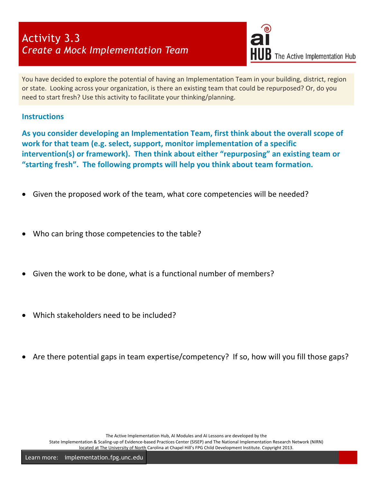## Activity 3.3 *Create a Mock Implementation Team*



You have decided to explore the potential of having an Implementation Team in your building, district, region or state. Looking across your organization, is there an existing team that could be repurposed? Or, do you need to start fresh? Use this activity to facilitate your thinking/planning.

## **Instructions**

**As you consider developing an Implementation Team, first think about the overall scope of work for that team (e.g. select, support, monitor implementation of a specific intervention(s) or framework). Then think about either "repurposing" an existing team or "starting fresh". The following prompts will help you think about team formation.** 

- Given the proposed work of the team, what core competencies will be needed?
- Who can bring those competencies to the table?
- Given the work to be done, what is a functional number of members?
- Which stakeholders need to be included?
- Are there potential gaps in team expertise/competency? If so, how will you fill those gaps?